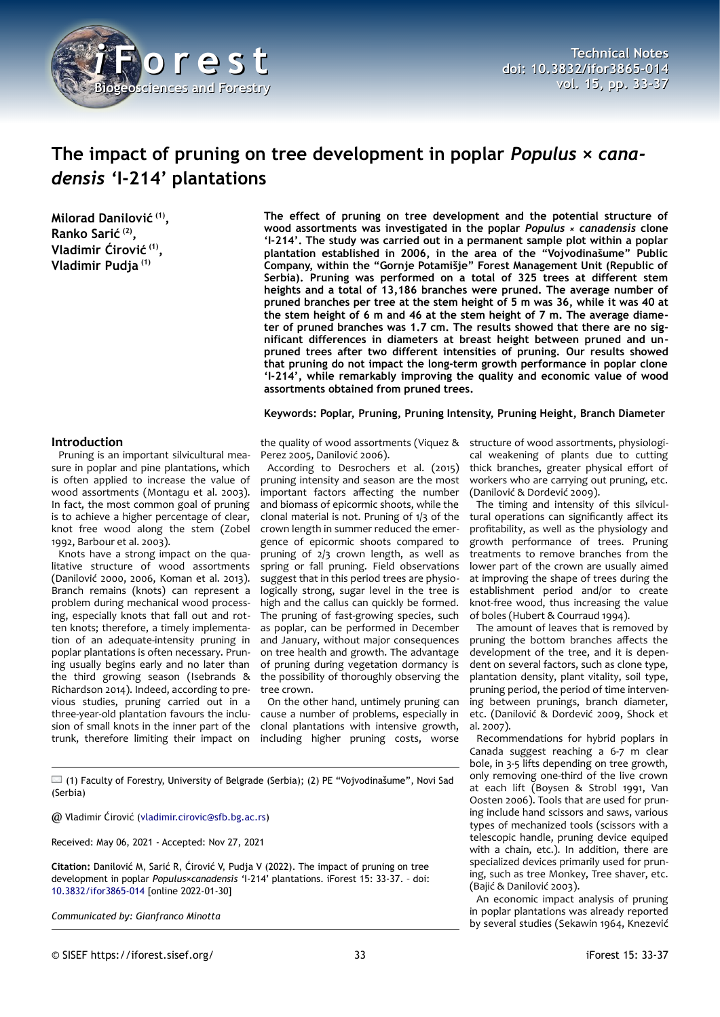

# **The impact of pruning on tree development in poplar** *Populus × canadensis '***I-214' plantations**

**Milorad Danilović (1) , Ranko Sarić (2) , Vladimir Ćirović (1) , Vladimir Pudja (1)**

#### **Introduction**

Pruning is an important silvicultural measure in poplar and pine plantations, which is often applied to increase the value of wood assortments (Montagu et al. 2003). In fact, the most common goal of pruning is to achieve a higher percentage of clear, knot free wood along the stem (Zobel 1992, Barbour et al. 2003).

Knots have a strong impact on the qualitative structure of wood assortments (Danilović 2000, 2006, Koman et al. 2013). Branch remains (knots) can represent a problem during mechanical wood processing, especially knots that fall out and rotten knots; therefore, a timely implementation of an adequate-intensity pruning in poplar plantations is often necessary. Pruning usually begins early and no later than the third growing season (Isebrands & Richardson 2014). Indeed, according to previous studies, pruning carried out in a three-year-old plantation favours the inclusion of small knots in the inner part of the trunk, therefore limiting their impact on

**The effect of pruning on tree development and the potential structure of wood assortments was investigated in the poplar** *Populus × canadensis* **clone 'I-214'. The study was carried out in a permanent sample plot within a poplar plantation established in 2006, in the area of the "Vojvodinašume" Public Company, within the "Gornje Potamišje" Forest Management Unit (Republic of Serbia). Pruning was performed on a total of 325 trees at different stem heights and a total of 13,186 branches were pruned. The average number of pruned branches per tree at the stem height of 5 m was 36, while it was 40 at the stem height of 6 m and 46 at the stem height of 7 m. The average diameter of pruned branches was 1.7 cm. The results showed that there are no significant differences in diameters at breast height between pruned and unpruned trees after two different intensities of pruning. Our results showed that pruning do not impact the long-term growth performance in poplar clone 'I-214', while remarkably improving the quality and economic value of wood assortments obtained from pruned trees.**

## **Keywords: Poplar, Pruning, Pruning Intensity, Pruning Height, Branch Diameter**

Perez 2005, Danilović 2006).

According to Desrochers et al. (2015) pruning intensity and season are the most important factors affecting the number and biomass of epicormic shoots, while the clonal material is not. Pruning of 1/3 of the crown length in summer reduced the emergence of epicormic shoots compared to pruning of 2/3 crown length, as well as spring or fall pruning. Field observations suggest that in this period trees are physiologically strong, sugar level in the tree is high and the callus can quickly be formed. The pruning of fast-growing species, such as poplar, can be performed in December and January, without major consequences on tree health and growth. The advantage of pruning during vegetation dormancy is the possibility of thoroughly observing the tree crown.

On the other hand, untimely pruning can cause a number of problems, especially in clonal plantations with intensive growth, including higher pruning costs, worse

the quality of wood assortments (Viquez & structure of wood assortments, physiological weakening of plants due to cutting thick branches, greater physical effort of workers who are carrying out pruning, etc. (Danilović & Dordević 2009).

The timing and intensity of this silvicultural operations can significantly affect its profitability, as well as the physiology and growth performance of trees. Pruning treatments to remove branches from the lower part of the crown are usually aimed at improving the shape of trees during the establishment period and/or to create knot-free wood, thus increasing the value of boles (Hubert & Courraud 1994).

The amount of leaves that is removed by pruning the bottom branches affects the development of the tree, and it is dependent on several factors, such as clone type, plantation density, plant vitality, soil type, pruning period, the period of time intervening between prunings, branch diameter, etc. (Danilović & Dordević 2009, Shock et al. 2007).

Recommendations for hybrid poplars in Canada suggest reaching a 6-7 m clear bole, in 3-5 lifts depending on tree growth, only removing one-third of the live crown at each lift (Boysen & Strobl 1991, Van Oosten 2006). Tools that are used for pruning include hand scissors and saws, various types of mechanized tools (scissors with a telescopic handle, pruning device equiped with a chain, etc.). In addition, there are specialized devices primarily used for pruning, such as tree Monkey, Tree shaver, etc. (Bajić & Danilović 2003).

An economic impact analysis of pruning in poplar plantations was already reported by several studies (Sekawin 1964, Knezević

(1) Faculty of Forestry, University of Belgrade (Serbia); (2) PE "Vojvodinašume", Novi Sad (Serbia)

@ Vladimir Ćirović [\(vladimir.cirovic@sfb.bg.ac.rs\)](mailto:vladimir.cirovic@sfb.bg.ac.rs)

Received: May 06, 2021 - Accepted: Nov 27, 2021

**Citation:** Danilović M, Sarić R, Ćirović V, Pudja V (2022). The impact of pruning on tree development in poplar *Populus×canadensis '*I-214' plantations. iForest 15: 33-37. – doi[:](http://www.sisef.it/iforest/contents/?id=ifor3865-014) [10.3832/ifor3865-014](http://www.sisef.it/iforest/contents/?id=ifor3865-014) [online 2022-01-30]

*Communicated by: Gianfranco Minotta*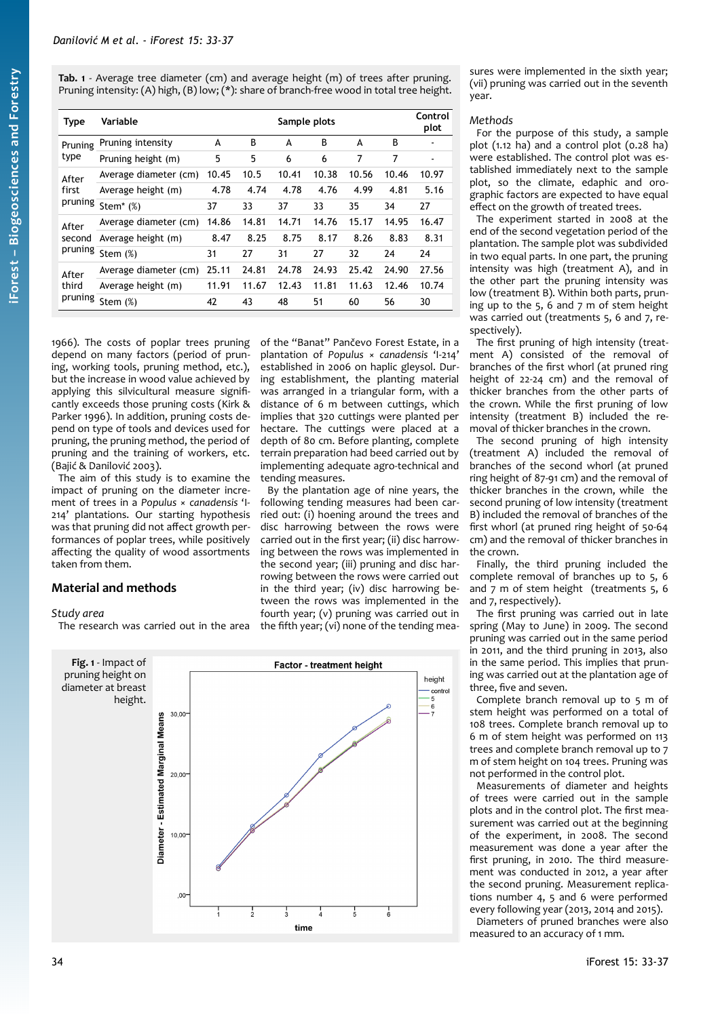<span id="page-1-0"></span>**Tab. 1** - Average tree diameter (cm) and average height (m) of trees after pruning. Pruning intensity: (A) high, (B) low; (\*): share of branch-free wood in total tree height.

| <b>Type</b>    | Variable              |       |       | Sample plots |       |       |       | Control<br>plot |
|----------------|-----------------------|-------|-------|--------------|-------|-------|-------|-----------------|
| Pruning        | Pruning intensity     | A     | B     | A            | B     | A     | B     |                 |
| type           | Pruning height (m)    | 5     | 5     | 6            | 6     |       | 7     | ۰               |
| After          | Average diameter (cm) | 10.45 | 10.5  | 10.41        | 10.38 | 10.56 | 10.46 | 10.97           |
| first          | Average height (m)    | 4.78  | 4.74  | 4.78         | 4.76  | 4.99  | 4.81  | 5.16            |
| pruning        | Stem* $(\%)$          | 37    | 33    | 37           | 33    | 35    | 34    | 27              |
| After          | Average diameter (cm) | 14.86 | 14.81 | 14.71        | 14.76 | 15.17 | 14.95 | 16.47           |
| second         | Average height (m)    | 8.47  | 8.25  | 8.75         | 8.17  | 8.26  | 8.83  | 8.31            |
| pruning        | Stem $(\%)$           | 31    | 27    | 31           | 27    | 32    | 24    | 24              |
| After<br>third | Average diameter (cm) | 25.11 | 24.81 | 24.78        | 24.93 | 25.42 | 24.90 | 27.56           |
|                | Average height (m)    | 11.91 | 11.67 | 12.43        | 11.81 | 11.63 | 12.46 | 10.74           |
| pruning        | Stem $(\%)$           | 42    | 43    | 48           | 51    | 60    | 56    | 30              |

1966). The costs of poplar trees pruning depend on many factors (period of pruning, working tools, pruning method, etc.), but the increase in wood value achieved by applying this silvicultural measure significantly exceeds those pruning costs (Kirk & Parker 1996). In addition, pruning costs depend on type of tools and devices used for pruning, the pruning method, the period of pruning and the training of workers, etc. (Bajić & Danilović 2003).

The aim of this study is to examine the impact of pruning on the diameter increment of trees in a *Populus* × *canadensis* 'I-214' plantations. Our starting hypothesis was that pruning did not affect growth performances of poplar trees, while positively affecting the quality of wood assortments taken from them.

## **Material and methods**

*Study area*

The research was carried out in the area

of the "Banat" Pančevo Forest Estate, in a plantation of *Populus* × *canadensis* 'I-214' established in 2006 on haplic gleysol. During establishment, the planting material was arranged in a triangular form, with a distance of 6 m between cuttings, which implies that 320 cuttings were planted per hectare. The cuttings were placed at a depth of 80 cm. Before planting, complete terrain preparation had beed carried out by implementing adequate agro-technical and tending measures.

By the plantation age of nine years, the following tending measures had been carried out: (i) hoening around the trees and disc harrowing between the rows were carried out in the first year; (ii) disc harrowing between the rows was implemented in the second year; (iii) pruning and disc harrowing between the rows were carried out in the third year; (iv) disc harrowing between the rows was implemented in the fourth year; (v) pruning was carried out in the fifth year; (vi) none of the tending mea-

<span id="page-1-1"></span>

sures were implemented in the sixth year; (vii) pruning was carried out in the seventh year.

# *Methods*

For the purpose of this study, a sample plot (1.12 ha) and a control plot (0.28 ha) were established. The control plot was established immediately next to the sample plot, so the climate, edaphic and orographic factors are expected to have equal effect on the growth of treated trees.

The experiment started in 2008 at the end of the second vegetation period of the plantation. The sample plot was subdivided in two equal parts. In one part, the pruning intensity was high (treatment A), and in the other part the pruning intensity was low (treatment B). Within both parts, pruning up to the 5, 6 and 7 m of stem height was carried out (treatments 5, 6 and 7, respectively).

The first pruning of high intensity (treatment A) consisted of the removal of branches of the first whorl (at pruned ring height of 22-24 cm) and the removal of thicker branches from the other parts of the crown. While the first pruning of low intensity (treatment B) included the removal of thicker branches in the crown.

The second pruning of high intensity (treatment A) included the removal of branches of the second whorl (at pruned ring height of 87-91 cm) and the removal of thicker branches in the crown, while the second pruning of low intensity (treatment B) included the removal of branches of the first whorl (at pruned ring height of 50-64 cm) and the removal of thicker branches in the crown.

Finally, the third pruning included the complete removal of branches up to 5, 6 and 7 m of stem height (treatments 5, 6 and 7, respectively).

The first pruning was carried out in late spring (May to June) in 2009. The second pruning was carried out in the same period in 2011, and the third pruning in 2013, also in the same period. This implies that pruning was carried out at the plantation age of three, five and seven.

Complete branch removal up to 5 m of stem height was performed on a total of 108 trees. Complete branch removal up to 6 m of stem height was performed on 113 trees and complete branch removal up to 7 m of stem height on 104 trees. Pruning was not performed in the control plot.

Measurements of diameter and heights of trees were carried out in the sample plots and in the control plot. The first measurement was carried out at the beginning of the experiment, in 2008. The second measurement was done a year after the first pruning, in 2010. The third measurement was conducted in 2012, a year after the second pruning. Measurement replications number 4, 5 and 6 were performed every following year (2013, 2014 and 2015).

Diameters of pruned branches were also measured to an accuracy of 1 mm.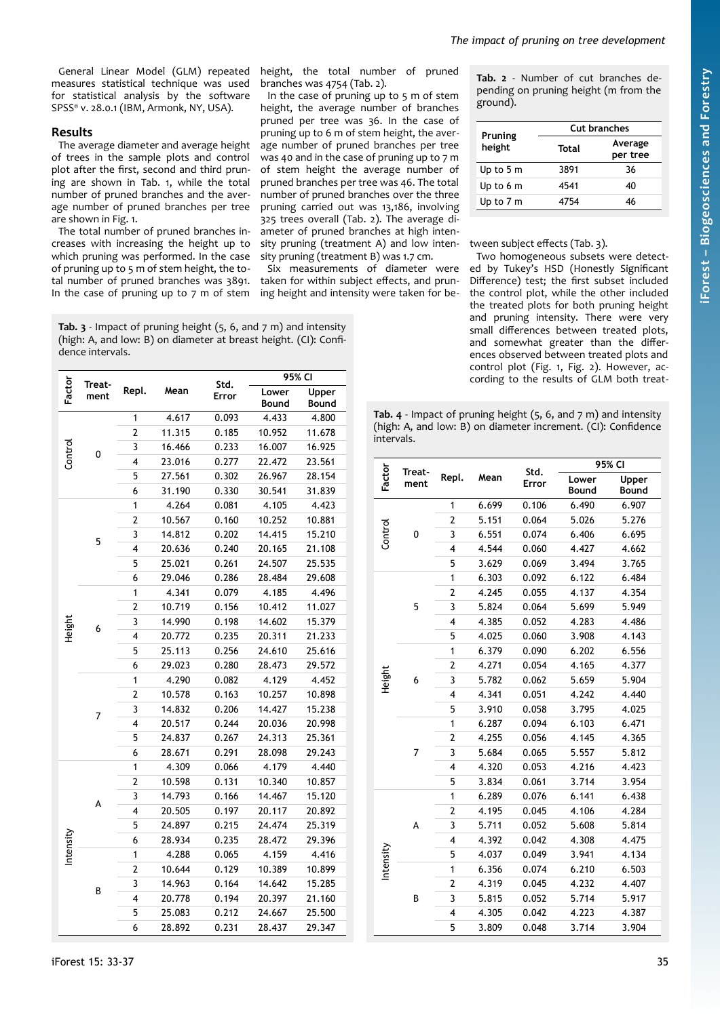General Linear Model (GLM) repeated measures statistical technique was used for statistical analysis by the software SPSS® v. 28.0.1 (IBM, Armonk, NY, USA).

## **Results**

The average diameter and average height of trees in the sample plots and control plot after the first, second and third pruning are shown in [Tab. 1](#page-1-0), while the total number of pruned branches and the average number of pruned branches per tree are shown in [Fig. 1.](#page-1-1)

The total number of pruned branches increases with increasing the height up to which pruning was performed. In the case of pruning up to 5 m of stem height, the total number of pruned branches was 3891. In the case of pruning up to 7 m of stem height, the total number of pruned branches was 4754 ([Tab. 2\)](#page-2-1).

In the case of pruning up to 5 m of stem height, the average number of branches pruned per tree was 36. In the case of pruning up to 6 m of stem height, the average number of pruned branches per tree was 40 and in the case of pruning up to 7 m of stem height the average number of pruned branches per tree was 46. The total number of pruned branches over the three pruning carried out was 13,186, involving 325 trees overall ([Tab. 2](#page-2-1)). The average diameter of pruned branches at high intensity pruning (treatment A) and low intensity pruning (treatment B) was 1.7 cm.

Six measurements of diameter were taken for within subject effects, and pruning height and intensity were taken for be-

<span id="page-2-1"></span>**Tab. 2** - Number of cut branches depending on pruning height (m from the ground).

| Pruning    | Cut branches |                     |  |  |  |
|------------|--------------|---------------------|--|--|--|
| height     | Total        | Average<br>per tree |  |  |  |
| Up to 5 m  | 3891         | 36                  |  |  |  |
| Up to 6 m  | 4541         | 40                  |  |  |  |
| Up to $7m$ | 4754         | 16                  |  |  |  |

tween subject effects ([Tab. 3](#page-2-0)).

Two homogeneous subsets were detected by Tukey's HSD (Honestly Significant Difference) test; the first subset included the control plot, while the other included the treated plots for both pruning height and pruning intensity. There were very small differences between treated plots, and somewhat greater than the differences observed between treated plots and control plot ([Fig. 1](#page-1-1), [Fig. 2\)](#page-3-0). However, according to the results of GLM both treat-

<span id="page-2-0"></span>

| Tab. $3$ - Impact of pruning height (5, 6, and 7 m) and intensity |
|-------------------------------------------------------------------|
| (high: A, and low: B) on diameter at breast height. (CI): Confi-  |
| dence intervals.                                                  |

| Factor<br>Treat-<br>ment |       |                         |        | Std.           | 95% CI                |        |  |
|--------------------------|-------|-------------------------|--------|----------------|-----------------------|--------|--|
|                          | Repl. | Mean                    | Error  | Lower<br>Bound | Upper<br><b>Bound</b> |        |  |
| Control                  |       | 1                       | 4.617  | 0.093          | 4.433                 | 4.800  |  |
|                          |       | 2                       | 11.315 | 0.185          | 10.952                | 11.678 |  |
|                          | 0     | 3                       | 16.466 | 0.233          | 16.007                | 16.925 |  |
|                          |       | 4                       | 23.016 | 0.277          | 22.472                | 23.561 |  |
|                          |       | 5                       | 27.561 | 0.302          | 26.967                | 28.154 |  |
|                          |       | 6                       | 31.190 | 0.330          | 30.541                | 31.839 |  |
|                          |       | $\mathbf{1}$            | 4.264  | 0.081          | 4.105                 | 4.423  |  |
|                          |       | $\overline{2}$          | 10.567 | 0.160          | 10.252                | 10.881 |  |
|                          | 5     | 3                       | 14.812 | 0.202          | 14.415                | 15.210 |  |
|                          |       | 4                       | 20.636 | 0.240          | 20.165                | 21.108 |  |
|                          |       | 5                       | 25.021 | 0.261          | 24.507                | 25.535 |  |
|                          |       | 6                       | 29.046 | 0.286          | 28.484                | 29.608 |  |
|                          |       | 1                       | 4.341  | 0.079          | 4.185                 | 4.496  |  |
|                          |       | $\overline{c}$          | 10.719 | 0.156          | 10.412                | 11.027 |  |
|                          | 6     | 3                       | 14.990 | 0.198          | 14.602                | 15.379 |  |
| Height                   |       | 4                       | 20.772 | 0.235          | 20.311                | 21.233 |  |
|                          |       | 5                       | 25.113 | 0.256          | 24.610                | 25.616 |  |
|                          |       | 6                       | 29.023 | 0.280          | 28.473                | 29.572 |  |
|                          |       | $\mathbf{1}$            | 4.290  | 0.082          | 4.129                 | 4.452  |  |
|                          | 7     | $\overline{\mathbf{c}}$ | 10.578 | 0.163          | 10.257                | 10.898 |  |
|                          |       | 3                       | 14.832 | 0.206          | 14.427                | 15.238 |  |
|                          |       | 4                       | 20.517 | 0.244          | 20.036                | 20.998 |  |
|                          |       | 5                       | 24.837 | 0.267          | 24.313                | 25.361 |  |
|                          |       | 6                       | 28.671 | 0.291          | 28.098                | 29.243 |  |
|                          | A     | $\mathbf{1}$            | 4.309  | 0.066          | 4.179                 | 4.440  |  |
|                          |       | $\overline{c}$          | 10.598 | 0.131          | 10.340                | 10.857 |  |
| Intensity                |       | 3                       | 14.793 | 0.166          | 14.467                | 15.120 |  |
|                          |       | 4                       | 20.505 | 0.197          | 20.117                | 20.892 |  |
|                          |       | 5                       | 24.897 | 0.215          | 24.474                | 25.319 |  |
|                          |       | 6                       | 28.934 | 0.235          | 28.472                | 29.396 |  |
|                          | B     | 1                       | 4.288  | 0.065          | 4.159                 | 4.416  |  |
|                          |       | 2                       | 10.644 | 0.129          | 10.389                | 10.899 |  |
|                          |       | 3                       | 14.963 | 0.164          | 14.642                | 15.285 |  |
|                          |       | 4                       | 20.778 | 0.194          | 20.397                | 21.160 |  |
|                          |       | 5                       | 25.083 | 0.212          | 24.667                | 25.500 |  |
|                          |       | 6                       | 28.892 | 0.231          | 28.437                | 29.347 |  |

<span id="page-2-2"></span>**Tab. 4** - Impact of pruning height (5, 6, and 7 m) and intensity (high: A, and low: B) on diameter increment. (CI): Confidence intervals.

| Factor    | Treat-<br>ment | Repl.          | Mean  | Std.<br>Error | 95% CI         |                       |  |
|-----------|----------------|----------------|-------|---------------|----------------|-----------------------|--|
|           |                |                |       |               | Lower<br>Bound | Upper<br><b>Bound</b> |  |
| Control   |                | 1              | 6.699 | 0.106         | 6.490          | 6.907                 |  |
|           |                | $\overline{2}$ | 5.151 | 0.064         | 5.026          | 5.276                 |  |
|           | 0              | 3              | 6.551 | 0.074         | 6.406          | 6.695                 |  |
|           |                | 4              | 4.544 | 0.060         | 4.427          | 4.662                 |  |
|           |                | 5              | 3.629 | 0.069         | 3.494          | 3.765                 |  |
|           |                | 1              | 6.303 | 0.092         | 6.122          | 6.484                 |  |
|           |                | $\overline{2}$ | 4.245 | 0.055         | 4.137          | 4.354                 |  |
|           | 5              | 3              | 5.824 | 0.064         | 5.699          | 5.949                 |  |
|           |                | 4              | 4.385 | 0.052         | 4.283          | 4.486                 |  |
|           |                | 5              | 4.025 | 0.060         | 3.908          | 4.143                 |  |
|           |                | $\mathbf{1}$   | 6.379 | 0.090         | 6.202          | 6.556                 |  |
|           |                | $\overline{c}$ | 4.271 | 0.054         | 4.165          | 4.377                 |  |
| Height    | 6              | 3              | 5.782 | 0.062         | 5.659          | 5.904                 |  |
|           |                | 4              | 4.341 | 0.051         | 4.242          | 4.440                 |  |
|           |                | 5              | 3.910 | 0.058         | 3.795          | 4.025                 |  |
|           | 7              | 1              | 6.287 | 0.094         | 6.103          | 6.471                 |  |
|           |                | $\overline{2}$ | 4.255 | 0.056         | 4.145          | 4.365                 |  |
|           |                | 3              | 5.684 | 0.065         | 5.557          | 5.812                 |  |
|           |                | 4              | 4.320 | 0.053         | 4.216          | 4.423                 |  |
|           |                | 5              | 3.834 | 0.061         | 3.714          | 3.954                 |  |
|           | A              | $\mathbf{1}$   | 6.289 | 0.076         | 6.141          | 6.438                 |  |
|           |                | $\overline{c}$ | 4.195 | 0.045         | 4.106          | 4.284                 |  |
|           |                | 3              | 5.711 | 0.052         | 5.608          | 5.814                 |  |
|           |                | 4              | 4.392 | 0.042         | 4.308          | 4.475                 |  |
| Intensity |                | 5              | 4.037 | 0.049         | 3.941          | 4.134                 |  |
|           | B              | 1              | 6.356 | 0.074         | 6.210          | 6.503                 |  |
|           |                | $\overline{2}$ | 4.319 | 0.045         | 4.232          | 4.407                 |  |
|           |                | 3              | 5.815 | 0.052         | 5.714          | 5.917                 |  |
|           |                | 4              | 4.305 | 0.042         | 4.223          | 4.387                 |  |
|           |                | 5              | 3.809 | 0.048         | 3.714          | 3.904                 |  |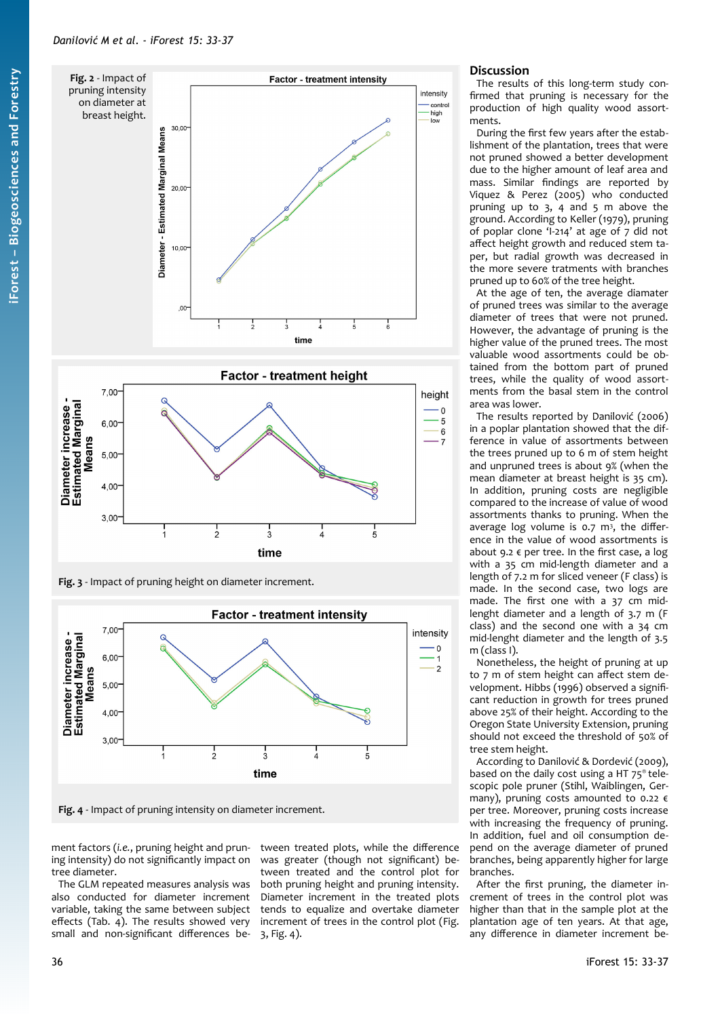<span id="page-3-0"></span>



<span id="page-3-2"></span>**Fig. 3** - Impact of pruning height on diameter increment.



<span id="page-3-1"></span>**Fig. 4** - Impact of pruning intensity on diameter increment.

ment factors (*i.e.*, pruning height and pruning intensity) do not significantly impact on tree diameter.

The GLM repeated measures analysis was also conducted for diameter increment variable, taking the same between subject effects (Tab.  $4$ ). The results showed very small and non-significant differences between treated plots, while the difference was greater (though not significant) between treated and the control plot for both pruning height and pruning intensity. Diameter increment in the treated plots tends to equalize and overtake diameter increment of trees in the control plot [\(Fig.](#page-3-2) [3,](#page-3-2) [Fig. 4](#page-3-1)).

## **Discussion**

The results of this long-term study confirmed that pruning is necessary for the production of high quality wood assortments.

During the first few years after the establishment of the plantation, trees that were not pruned showed a better development due to the higher amount of leaf area and mass. Similar findings are reported by Viquez & Perez (2005) who conducted pruning up to 3, 4 and 5 m above the ground. According to Keller (1979), pruning of poplar clone 'I-214' at age of 7 did not affect height growth and reduced stem taper, but radial growth was decreased in the more severe tratments with branches pruned up to 60% of the tree height.

At the age of ten, the average diamater of pruned trees was similar to the average diameter of trees that were not pruned. However, the advantage of pruning is the higher value of the pruned trees. The most valuable wood assortments could be obtained from the bottom part of pruned trees, while the quality of wood assortments from the basal stem in the control area was lower.

The results reported by Danilović (2006) in a poplar plantation showed that the difference in value of assortments between the trees pruned up to 6 m of stem height and unpruned trees is about 9% (when the mean diameter at breast height is 35 cm). In addition, pruning costs are negligible compared to the increase of value of wood assortments thanks to pruning. When the average log volume is  $0.7 \text{ m}^3$ , the difference in the value of wood assortments is about 9.2  $\epsilon$  per tree. In the first case, a log with a 35 cm mid-length diameter and a length of 7.2 m for sliced veneer (F class) is made. In the second case, two logs are made. The first one with a 37 cm midlenght diameter and a length of 3.7 m (F class) and the second one with a 34 cm mid-lenght diameter and the length of 3.5 m (class I).

Nonetheless, the height of pruning at up to 7 m of stem height can affect stem development. Hibbs (1996) observed a significant reduction in growth for trees pruned above 25% of their height. According to the Oregon State University Extension, pruning should not exceed the threshold of 50% of tree stem height.

According to Danilović & Dordević (2009), based on the daily cost using a HT 75® telescopic pole pruner (Stihl, Waiblingen, Germany), pruning costs amounted to 0.22  $\epsilon$ per tree. Moreover, pruning costs increase with increasing the frequency of pruning. In addition, fuel and oil consumption depend on the average diameter of pruned branches, being apparently higher for large branches.

After the first pruning, the diameter increment of trees in the control plot was higher than that in the sample plot at the plantation age of ten years. At that age, any difference in diameter increment be-